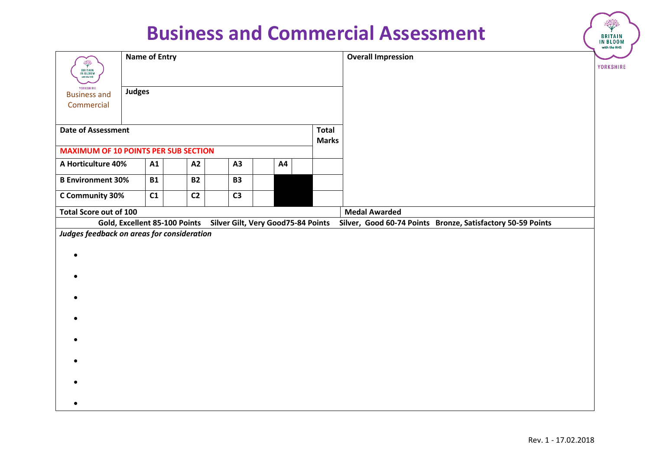|                                                       |                      |           |                               |  |                |    |                                    | <b>Business and Commercial Assessment</b>                   | <b>BRITAIN</b><br>IN BLOOM<br>with the RHS |
|-------------------------------------------------------|----------------------|-----------|-------------------------------|--|----------------|----|------------------------------------|-------------------------------------------------------------|--------------------------------------------|
| ÷,<br><b>BRITAIN</b><br>IN BLOOM<br>with the RHS      | <b>Name of Entry</b> |           |                               |  |                |    |                                    | <b>Overall Impression</b>                                   | YORKSHIRE                                  |
| <b>YORKSHIRE</b><br><b>Business and</b><br>Commercial | <b>Judges</b>        |           |                               |  |                |    |                                    |                                                             |                                            |
| <b>Date of Assessment</b>                             |                      |           |                               |  |                |    | <b>Total</b><br><b>Marks</b>       |                                                             |                                            |
| <b>MAXIMUM OF 10 POINTS PER SUB SECTION</b>           |                      |           |                               |  |                |    |                                    |                                                             |                                            |
| A Horticulture 40%                                    |                      | A1        | A2                            |  | A3             | A4 |                                    |                                                             |                                            |
| <b>B Environment 30%</b>                              |                      | <b>B1</b> | <b>B2</b>                     |  | <b>B3</b>      |    |                                    |                                                             |                                            |
| C Community 30%                                       |                      | C1        | C <sub>2</sub>                |  | C <sub>3</sub> |    |                                    |                                                             |                                            |
| Total Score out of 100                                |                      |           |                               |  |                |    |                                    | <b>Medal Awarded</b>                                        |                                            |
|                                                       |                      |           | Gold, Excellent 85-100 Points |  |                |    | Silver Gilt, Very Good75-84 Points | Silver, Good 60-74 Points Bronze, Satisfactory 50-59 Points |                                            |
| Judges feedback on areas for consideration            |                      |           |                               |  |                |    |                                    |                                                             |                                            |
|                                                       |                      |           |                               |  |                |    |                                    |                                                             |                                            |
|                                                       |                      |           |                               |  |                |    |                                    |                                                             |                                            |
|                                                       |                      |           |                               |  |                |    |                                    |                                                             |                                            |
|                                                       |                      |           |                               |  |                |    |                                    |                                                             |                                            |
|                                                       |                      |           |                               |  |                |    |                                    |                                                             |                                            |
|                                                       |                      |           |                               |  |                |    |                                    |                                                             |                                            |
|                                                       |                      |           |                               |  |                |    |                                    |                                                             |                                            |
|                                                       |                      |           |                               |  |                |    |                                    |                                                             |                                            |
|                                                       |                      |           |                               |  |                |    |                                    |                                                             |                                            |
|                                                       |                      |           |                               |  |                |    |                                    |                                                             |                                            |
|                                                       |                      |           |                               |  |                |    |                                    |                                                             |                                            |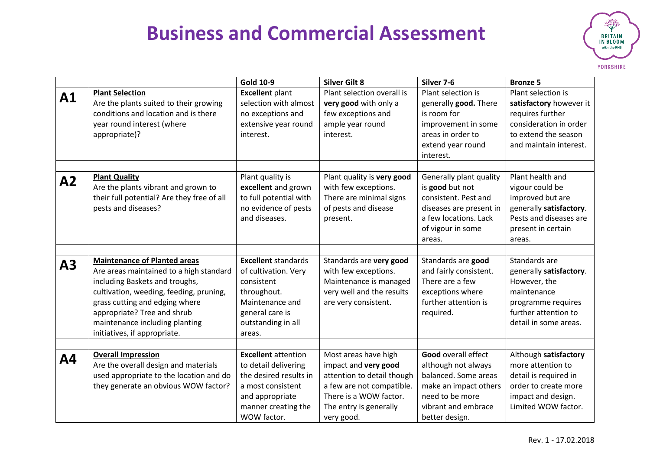

|           |                                                                                                                                                                                                                                                                                                | <b>Gold 10-9</b>                                                                                                                                           | <b>Silver Gilt 8</b>                                                                                                                                                      | Silver 7-6                                                                                                                                                     | <b>Bronze 5</b>                                                                                                                                |
|-----------|------------------------------------------------------------------------------------------------------------------------------------------------------------------------------------------------------------------------------------------------------------------------------------------------|------------------------------------------------------------------------------------------------------------------------------------------------------------|---------------------------------------------------------------------------------------------------------------------------------------------------------------------------|----------------------------------------------------------------------------------------------------------------------------------------------------------------|------------------------------------------------------------------------------------------------------------------------------------------------|
| A1        | <b>Plant Selection</b><br>Are the plants suited to their growing<br>conditions and location and is there<br>year round interest (where<br>appropriate)?                                                                                                                                        | <b>Excellent plant</b><br>selection with almost<br>no exceptions and<br>extensive year round<br>interest.                                                  | Plant selection overall is<br>very good with only a<br>few exceptions and<br>ample year round<br>interest.                                                                | Plant selection is<br>generally good. There<br>is room for<br>improvement in some<br>areas in order to<br>extend year round<br>interest.                       | Plant selection is<br>satisfactory however it<br>requires further<br>consideration in order<br>to extend the season<br>and maintain interest.  |
| A2        | <b>Plant Quality</b><br>Are the plants vibrant and grown to<br>their full potential? Are they free of all<br>pests and diseases?                                                                                                                                                               | Plant quality is<br>excellent and grown<br>to full potential with<br>no evidence of pests<br>and diseases.                                                 | Plant quality is very good<br>with few exceptions.<br>There are minimal signs<br>of pests and disease<br>present.                                                         | Generally plant quality<br>is good but not<br>consistent. Pest and<br>diseases are present in<br>a few locations. Lack<br>of vigour in some<br>areas.          | Plant health and<br>vigour could be<br>improved but are<br>generally satisfactory.<br>Pests and diseases are<br>present in certain<br>areas.   |
| A3        | <b>Maintenance of Planted areas</b><br>Are areas maintained to a high standard<br>including Baskets and troughs,<br>cultivation, weeding, feeding, pruning,<br>grass cutting and edging where<br>appropriate? Tree and shrub<br>maintenance including planting<br>initiatives, if appropriate. | <b>Excellent standards</b><br>of cultivation. Very<br>consistent<br>throughout.<br>Maintenance and<br>general care is<br>outstanding in all<br>areas.      | Standards are very good<br>with few exceptions.<br>Maintenance is managed<br>very well and the results<br>are very consistent.                                            | Standards are good<br>and fairly consistent.<br>There are a few<br>exceptions where<br>further attention is<br>required.                                       | Standards are<br>generally satisfactory.<br>However, the<br>maintenance<br>programme requires<br>further attention to<br>detail in some areas. |
| <b>A4</b> | <b>Overall Impression</b><br>Are the overall design and materials<br>used appropriate to the location and do<br>they generate an obvious WOW factor?                                                                                                                                           | <b>Excellent</b> attention<br>to detail delivering<br>the desired results in<br>a most consistent<br>and appropriate<br>manner creating the<br>WOW factor. | Most areas have high<br>impact and very good<br>attention to detail though<br>a few are not compatible.<br>There is a WOW factor.<br>The entry is generally<br>very good. | <b>Good overall effect</b><br>although not always<br>balanced. Some areas<br>make an impact others<br>need to be more<br>vibrant and embrace<br>better design. | Although satisfactory<br>more attention to<br>detail is required in<br>order to create more<br>impact and design.<br>Limited WOW factor.       |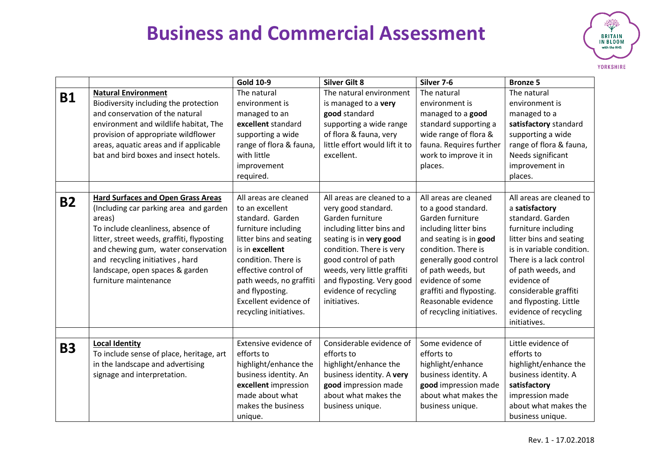

|           |                                                                                                                                                                                                                                                                                                                         | <b>Gold 10-9</b>                                                                                                                                                                                                                                                                  | <b>Silver Gilt 8</b>                                                                                                                                                                                                                                                                   | Silver 7-6                                                                                                                                                                                                                                                                                     | <b>Bronze 5</b>                                                                                                                                                                                                                                                                                           |
|-----------|-------------------------------------------------------------------------------------------------------------------------------------------------------------------------------------------------------------------------------------------------------------------------------------------------------------------------|-----------------------------------------------------------------------------------------------------------------------------------------------------------------------------------------------------------------------------------------------------------------------------------|----------------------------------------------------------------------------------------------------------------------------------------------------------------------------------------------------------------------------------------------------------------------------------------|------------------------------------------------------------------------------------------------------------------------------------------------------------------------------------------------------------------------------------------------------------------------------------------------|-----------------------------------------------------------------------------------------------------------------------------------------------------------------------------------------------------------------------------------------------------------------------------------------------------------|
| <b>B1</b> | <b>Natural Environment</b><br>Biodiversity including the protection<br>and conservation of the natural<br>environment and wildlife habitat, The<br>provision of appropriate wildflower<br>areas, aquatic areas and if applicable<br>bat and bird boxes and insect hotels.                                               | The natural<br>environment is<br>managed to an<br>excellent standard<br>supporting a wide<br>range of flora & fauna,<br>with little<br>improvement<br>required.                                                                                                                   | The natural environment<br>is managed to a very<br>good standard<br>supporting a wide range<br>of flora & fauna, very<br>little effort would lift it to<br>excellent.                                                                                                                  | The natural<br>environment is<br>managed to a good<br>standard supporting a<br>wide range of flora &<br>fauna. Requires further<br>work to improve it in<br>places.                                                                                                                            | The natural<br>environment is<br>managed to a<br>satisfactory standard<br>supporting a wide<br>range of flora & fauna,<br>Needs significant<br>improvement in<br>places.                                                                                                                                  |
| <b>B2</b> | <b>Hard Surfaces and Open Grass Areas</b><br>(Including car parking area and garden<br>areas)<br>To include cleanliness, absence of<br>litter, street weeds, graffiti, flyposting<br>and chewing gum, water conservation<br>and recycling initiatives, hard<br>landscape, open spaces & garden<br>furniture maintenance | All areas are cleaned<br>to an excellent<br>standard. Garden<br>furniture including<br>litter bins and seating<br>is in excellent<br>condition. There is<br>effective control of<br>path weeds, no graffiti<br>and flyposting.<br>Excellent evidence of<br>recycling initiatives. | All areas are cleaned to a<br>very good standard.<br>Garden furniture<br>including litter bins and<br>seating is in very good<br>condition. There is very<br>good control of path<br>weeds, very little graffiti<br>and flyposting. Very good<br>evidence of recycling<br>initiatives. | All areas are cleaned<br>to a good standard.<br>Garden furniture<br>including litter bins<br>and seating is in good<br>condition. There is<br>generally good control<br>of path weeds, but<br>evidence of some<br>graffiti and flyposting.<br>Reasonable evidence<br>of recycling initiatives. | All areas are cleaned to<br>a satisfactory<br>standard. Garden<br>furniture including<br>litter bins and seating<br>is in variable condition.<br>There is a lack control<br>of path weeds, and<br>evidence of<br>considerable graffiti<br>and flyposting. Little<br>evidence of recycling<br>initiatives. |
| <b>B3</b> | <b>Local Identity</b><br>To include sense of place, heritage, art<br>in the landscape and advertising<br>signage and interpretation.                                                                                                                                                                                    | Extensive evidence of<br>efforts to<br>highlight/enhance the<br>business identity. An<br>excellent impression<br>made about what<br>makes the business<br>unique.                                                                                                                 | Considerable evidence of<br>efforts to<br>highlight/enhance the<br>business identity. A very<br>good impression made<br>about what makes the<br>business unique.                                                                                                                       | Some evidence of<br>efforts to<br>highlight/enhance<br>business identity. A<br>good impression made<br>about what makes the<br>business unique.                                                                                                                                                | Little evidence of<br>efforts to<br>highlight/enhance the<br>business identity. A<br>satisfactory<br>impression made<br>about what makes the<br>business unique.                                                                                                                                          |